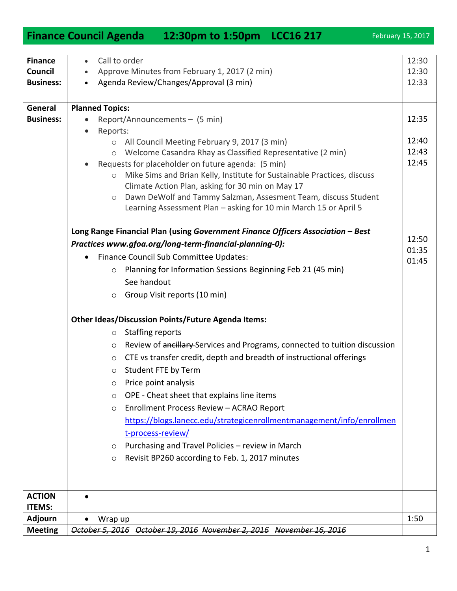## **Finance Council Business:** Call to order • Approve Minutes from February 1, 2017 (2 min) • Agenda Review/Changes/Approval (3 min) 12:30 12:30 12:33 **General Business: Planned Topics:**  Report/Announcements – (5 min) • Reports: o All Council Meeting February 9, 2017 (3 min) o Welcome Casandra Rhay as Classified Representative (2 min) Requests for placeholder on future agenda: (5 min) o Mike Sims and Brian Kelly, Institute for Sustainable Practices, discuss Climate Action Plan, asking for 30 min on May 17 o Dawn DeWolf and Tammy Salzman, Assesment Team, discuss Student Learning Assessment Plan – asking for 10 min March 15 or April 5 **Long Range Financial Plan (using** *Government Finance Officers Association – Best Practices www.gfoa.org/long-term-financial-planning-0):* • Finance Council Sub Committee Updates: o Planning for Information Sessions Beginning Feb 21 (45 min) See handout o Group Visit reports (10 min) **Other Ideas/Discussion Points/Future Agenda Items:** o Staffing reports o Review of ancillary Services and Programs, connected to tuition discussion o CTE vs transfer credit, depth and breadth of instructional offerings o Student FTE by Term o Price point analysis o OPE - Cheat sheet that explains line items o Enrollment Process Review – ACRAO Report [https://blogs.lanecc.edu/strategicenrollmentmanagement/info/enrollmen](https://blogs.lanecc.edu/strategicenrollmentmanagement/info/enrollment-process-review/) [t-process-review/](https://blogs.lanecc.edu/strategicenrollmentmanagement/info/enrollment-process-review/) o Purchasing and Travel Policies – review in March o Revisit BP260 according to Feb. 1, 2017 minutes 12:35 12:40 12:43 12:45 12:50 01:35 01:45 **ACTION ITEMS:**  $\bullet$ **Adjourn | •** Wrap up | 1:50

**Meeting** *October 5, 2016 October 19, 2016 November 2, 2016 November 16, 2016*